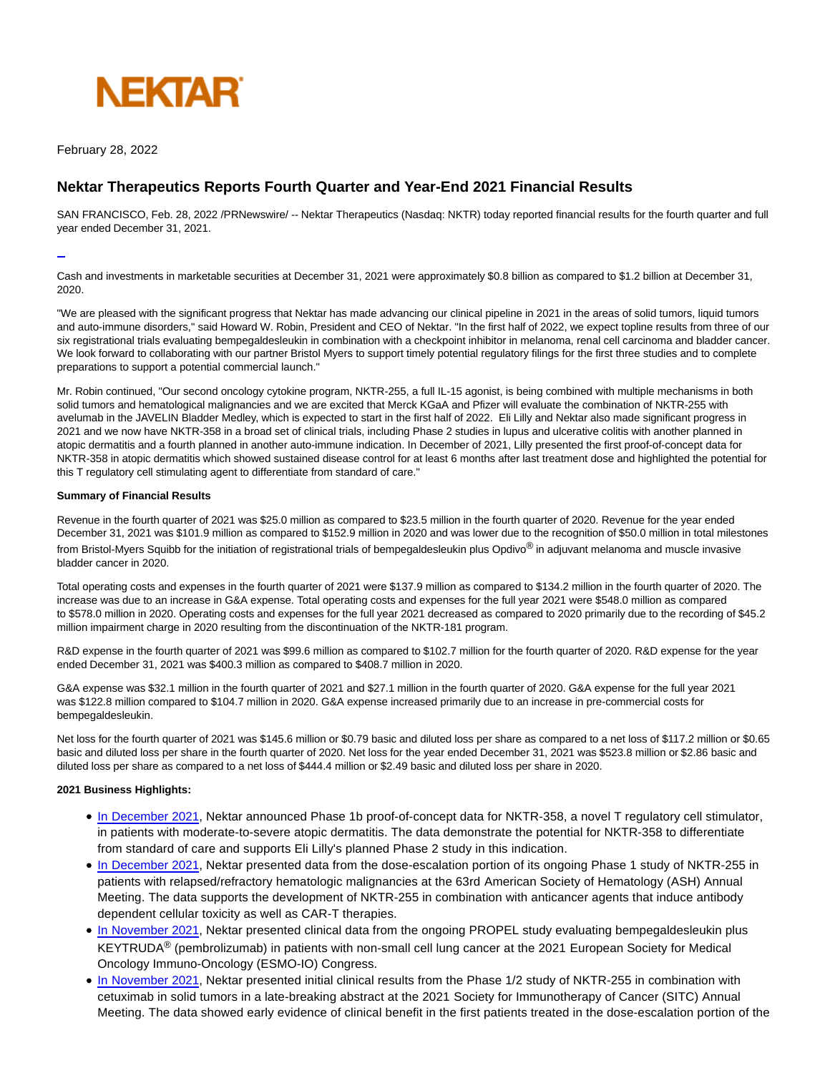

February 28, 2022

# **Nektar Therapeutics Reports Fourth Quarter and Year-End 2021 Financial Results**

SAN FRANCISCO, Feb. 28, 2022 /PRNewswire/ -- Nektar Therapeutics (Nasdaq: NKTR) today reported financial results for the fourth quarter and full year ended December 31, 2021.

L

Cash and investments in marketable securities at December 31, 2021 were approximately \$0.8 billion as compared to \$1.2 billion at December 31, 2020.

"We are pleased with the significant progress that Nektar has made advancing our clinical pipeline in 2021 in the areas of solid tumors, liquid tumors and auto-immune disorders," said Howard W. Robin, President and CEO of Nektar. "In the first half of 2022, we expect topline results from three of our six registrational trials evaluating bempegaldesleukin in combination with a checkpoint inhibitor in melanoma, renal cell carcinoma and bladder cancer. We look forward to collaborating with our partner Bristol Myers to support timely potential regulatory filings for the first three studies and to complete preparations to support a potential commercial launch."

Mr. Robin continued, "Our second oncology cytokine program, NKTR-255, a full IL-15 agonist, is being combined with multiple mechanisms in both solid tumors and hematological malignancies and we are excited that Merck KGaA and Pfizer will evaluate the combination of NKTR-255 with avelumab in the JAVELIN Bladder Medley, which is expected to start in the first half of 2022. Eli Lilly and Nektar also made significant progress in 2021 and we now have NKTR-358 in a broad set of clinical trials, including Phase 2 studies in lupus and ulcerative colitis with another planned in atopic dermatitis and a fourth planned in another auto-immune indication. In December of 2021, Lilly presented the first proof-of-concept data for NKTR-358 in atopic dermatitis which showed sustained disease control for at least 6 months after last treatment dose and highlighted the potential for this T regulatory cell stimulating agent to differentiate from standard of care."

## **Summary of Financial Results**

Revenue in the fourth quarter of 2021 was \$25.0 million as compared to \$23.5 million in the fourth quarter of 2020. Revenue for the year ended December 31, 2021 was \$101.9 million as compared to \$152.9 million in 2020 and was lower due to the recognition of \$50.0 million in total milestones from Bristol-Myers Squibb for the initiation of registrational trials of bempegaldesleukin plus Opdivo<sup>®</sup> in adjuvant melanoma and muscle invasive bladder cancer in 2020.

Total operating costs and expenses in the fourth quarter of 2021 were \$137.9 million as compared to \$134.2 million in the fourth quarter of 2020. The increase was due to an increase in G&A expense. Total operating costs and expenses for the full year 2021 were \$548.0 million as compared to \$578.0 million in 2020. Operating costs and expenses for the full year 2021 decreased as compared to 2020 primarily due to the recording of \$45.2 million impairment charge in 2020 resulting from the discontinuation of the NKTR-181 program.

R&D expense in the fourth quarter of 2021 was \$99.6 million as compared to \$102.7 million for the fourth quarter of 2020. R&D expense for the year ended December 31, 2021 was \$400.3 million as compared to \$408.7 million in 2020.

G&A expense was \$32.1 million in the fourth quarter of 2021 and \$27.1 million in the fourth quarter of 2020. G&A expense for the full year 2021 was \$122.8 million compared to \$104.7 million in 2020. G&A expense increased primarily due to an increase in pre-commercial costs for bempegaldesleukin.

Net loss for the fourth quarter of 2021 was \$145.6 million or \$0.79 basic and diluted loss per share as compared to a net loss of \$117.2 million or \$0.65 basic and diluted loss per share in the fourth quarter of 2020. Net loss for the year ended December 31, 2021 was \$523.8 million or \$2.86 basic and diluted loss per share as compared to a net loss of \$444.4 million or \$2.49 basic and diluted loss per share in 2020.

## **2021 Business Highlights:**

- [In December 2021,](https://c212.net/c/link/?t=0&l=en&o=3455932-1&h=3272698947&u=https%3A%2F%2Fir.nektar.com%2Fnews-releases%2Fnews-release-details%2Fnektar-therapeutics-announces-phase-1b-data-novel-t-regulatory&a=In+December+2021) Nektar announced Phase 1b proof-of-concept data for NKTR-358, a novel T regulatory cell stimulator, in patients with moderate-to-severe atopic dermatitis. The data demonstrate the potential for NKTR-358 to differentiate from standard of care and supports Eli Lilly's planned Phase 2 study in this indication.
- [In December 2021,](https://c212.net/c/link/?t=0&l=en&o=3455932-1&h=2869418189&u=https%3A%2F%2Fir.nektar.com%2Fnews-releases%2Fnews-release-details%2Fnektar-therapeutics-presents-clinical-data-nktr-255-patients&a=In+December+2021) Nektar presented data from the dose-escalation portion of its ongoing Phase 1 study of NKTR-255 in patients with relapsed/refractory hematologic malignancies at the 63rd American Society of Hematology (ASH) Annual Meeting. The data supports the development of NKTR-255 in combination with anticancer agents that induce antibody dependent cellular toxicity as well as CAR-T therapies.
- . [In November 2021,](https://c212.net/c/link/?t=0&l=en&o=3455932-1&h=3117846714&u=https%3A%2F%2Fir.nektar.com%2Fnews-releases%2Fnews-release-details%2Fnektar-therapeutics-announces-data-presentations-its-immuno-0&a=In+November+2021) Nektar presented clinical data from the ongoing PROPEL study evaluating bempegaldesleukin plus KEYTRUDA® (pembrolizumab) in patients with non-small cell lung cancer at the 2021 European Society for Medical Oncology Immuno-Oncology (ESMO-IO) Congress.
- [In November 2021,](https://c212.net/c/link/?t=0&l=en&o=3455932-1&h=202967591&u=https%3A%2F%2Fir.nektar.com%2Fnews-releases%2Fnews-release-details%2Fnektar-therapeutics-announces-data-presentations-its-immuno&a=In+November+2021) Nektar presented initial clinical results from the Phase 1/2 study of NKTR-255 in combination with cetuximab in solid tumors in a late-breaking abstract at the 2021 Society for Immunotherapy of Cancer (SITC) Annual Meeting. The data showed early evidence of clinical benefit in the first patients treated in the dose-escalation portion of the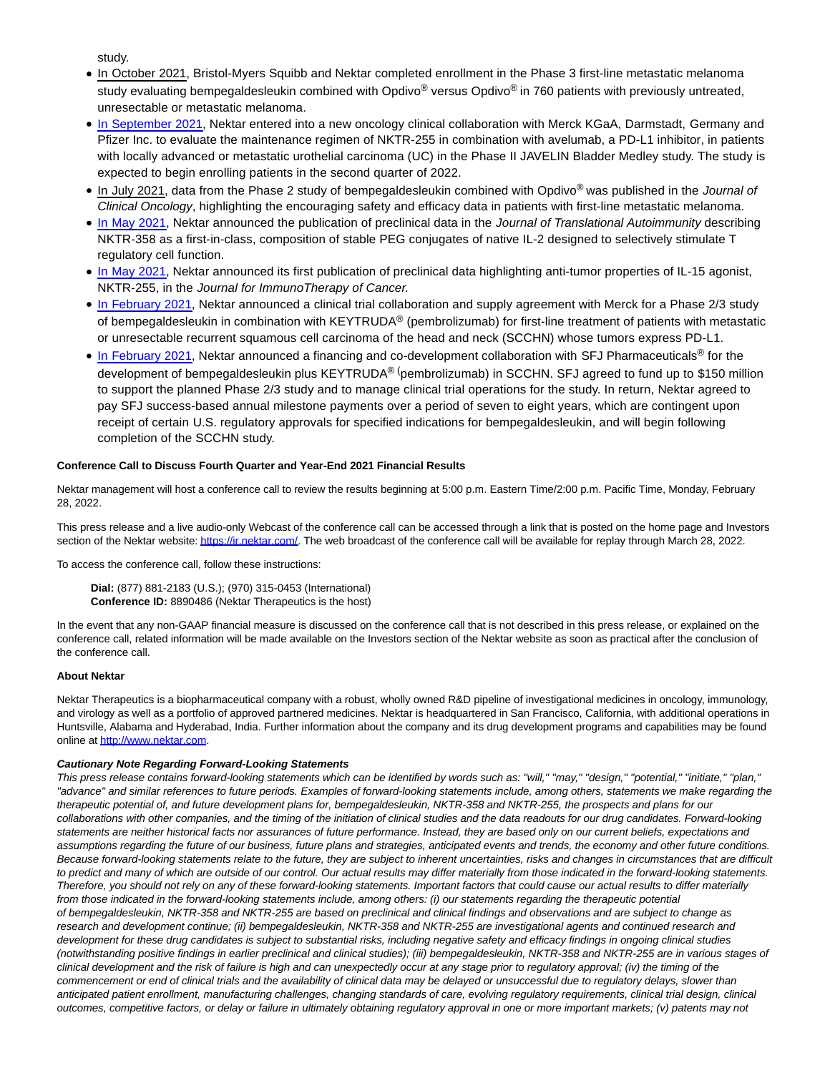study.

- In October 2021, Bristol-Myers Squibb and Nektar completed enrollment in the Phase 3 first-line metastatic melanoma  $\bullet$ study evaluating bempegaldesleukin combined with Opdivo® versus Opdivo® in 760 patients with previously untreated, unresectable or metastatic melanoma.
- [In September 2021,](https://c212.net/c/link/?t=0&l=en&o=3455932-1&h=635444381&u=https%3A%2F%2Fir.nektar.com%2Fnews-releases%2Fnews-release-details%2Fnektar-announces-new-clinical-collaboration-merck-kgaa-darmstadt&a=In+September+2021) Nektar entered into a new oncology clinical collaboration with Merck KGaA, Darmstadt, Germany and Pfizer Inc. to evaluate the maintenance regimen of NKTR-255 in combination with avelumab, a PD-L1 inhibitor, in patients with locally advanced or metastatic urothelial carcinoma (UC) in the Phase II JAVELIN Bladder Medley study. The study is expected to begin enrolling patients in the second quarter of 2022.
- In July 2021, data from the Phase 2 study of bempegaldesleukin combined with Opdivo<sup>®</sup> was published in the Journal of Clinical Oncology, highlighting the encouraging safety and efficacy data in patients with first-line metastatic melanoma.
- . [In May 2021,](https://c212.net/c/link/?t=0&l=en&o=3455932-1&h=3826493952&u=https%3A%2F%2Fir.nektar.com%2Fnews-releases%2Fnews-release-details%2Fnektar-therapeutics-announces-first-publication-nktr-358-novel&a=In+May+2021) Nektar announced the publication of preclinical data in the Journal of Translational Autoimmunity describing NKTR-358 as a first-in-class, composition of stable PEG conjugates of native IL-2 designed to selectively stimulate T regulatory cell function.
- [In May 2021,](https://c212.net/c/link/?t=0&l=en&o=3455932-1&h=3079355213&u=https%3A%2F%2Fir.nektar.com%2Fnews-releases%2Fnews-release-details%2Fnektar-therapeutics-announces-its-first-publication-preclinical&a=In+May+2021) Nektar announced its first publication of preclinical data highlighting anti-tumor properties of IL-15 agonist, NKTR-255, in the Journal for ImmunoTherapy of Cancer.
- . [In February 2021,](https://c212.net/c/link/?t=0&l=en&o=3455932-1&h=2436397729&u=https%3A%2F%2Fir.nektar.com%2Fnews-releases%2Fnews-release-details%2Fnektar-announces-agreement-phase-23-study-il-2-pathway-agonist&a=In+February+2021) Nektar announced a clinical trial collaboration and supply agreement with Merck for a Phase 2/3 study of bempegaldesleukin in combination with KEYTRUDA<sup>®</sup> (pembrolizumab) for first-line treatment of patients with metastatic or unresectable recurrent squamous cell carcinoma of the head and neck (SCCHN) whose tumors express PD-L1.
- [In February 2021,](https://c212.net/c/link/?t=0&l=en&o=3455932-1&h=560561933&u=https%3A%2F%2Fir.nektar.com%2Fnews-releases%2Fnews-release-details%2Fnektar-announces-collaboration-sfj-pharmaceuticalsr&a=In+February+2021) Nektar announced a financing and co-development collaboration with SFJ Pharmaceuticals<sup>®</sup> for the development of bempegaldesleukin plus KEYTRUDA<sup>® (</sup>pembrolizumab) in SCCHN. SFJ agreed to fund up to \$150 million to support the planned Phase 2/3 study and to manage clinical trial operations for the study. In return, Nektar agreed to pay SFJ success-based annual milestone payments over a period of seven to eight years, which are contingent upon receipt of certain U.S. regulatory approvals for specified indications for bempegaldesleukin, and will begin following completion of the SCCHN study.

## **Conference Call to Discuss Fourth Quarter and Year-End 2021 Financial Results**

Nektar management will host a conference call to review the results beginning at 5:00 p.m. Eastern Time/2:00 p.m. Pacific Time, Monday, February 28, 2022.

This press release and a live audio-only Webcast of the conference call can be accessed through a link that is posted on the home page and Investors section of the Nektar website[: https://ir.nektar.com/.](https://c212.net/c/link/?t=0&l=en&o=3455932-1&h=2579217305&u=https%3A%2F%2Fir.nektar.com%2F&a=https%3A%2F%2Fir.nektar.com%2F) The web broadcast of the conference call will be available for replay through March 28, 2022.

To access the conference call, follow these instructions:

**Dial:** (877) 881-2183 (U.S.); (970) 315-0453 (International) **Conference ID:** 8890486 (Nektar Therapeutics is the host)

In the event that any non-GAAP financial measure is discussed on the conference call that is not described in this press release, or explained on the conference call, related information will be made available on the Investors section of the Nektar website as soon as practical after the conclusion of the conference call.

## **About Nektar**

Nektar Therapeutics is a biopharmaceutical company with a robust, wholly owned R&D pipeline of investigational medicines in oncology, immunology, and virology as well as a portfolio of approved partnered medicines. Nektar is headquartered in San Francisco, California, with additional operations in Huntsville, Alabama and Hyderabad, India. Further information about the company and its drug development programs and capabilities may be found online a[t http://www.nektar.com.](https://c212.net/c/link/?t=0&l=en&o=3455932-1&h=2465798241&u=http%3A%2F%2Fwww.nektar.com%2F&a=http%3A%2F%2Fwww.nektar.com)

## **Cautionary Note Regarding Forward-Looking Statements**

This press release contains forward-looking statements which can be identified by words such as: "will," "may," "design," "potential," "initiate," "plan," "advance" and similar references to future periods. Examples of forward-looking statements include, among others, statements we make regarding the therapeutic potential of, and future development plans for, bempegaldesleukin, NKTR-358 and NKTR-255, the prospects and plans for our collaborations with other companies, and the timing of the initiation of clinical studies and the data readouts for our drug candidates. Forward-looking statements are neither historical facts nor assurances of future performance. Instead, they are based only on our current beliefs, expectations and assumptions regarding the future of our business, future plans and strategies, anticipated events and trends, the economy and other future conditions. Because forward-looking statements relate to the future, they are subject to inherent uncertainties, risks and changes in circumstances that are difficult to predict and many of which are outside of our control. Our actual results may differ materially from those indicated in the forward-looking statements. Therefore, you should not rely on any of these forward-looking statements. Important factors that could cause our actual results to differ materially from those indicated in the forward-looking statements include, among others: (i) our statements regarding the therapeutic potential of bempegaldesleukin, NKTR-358 and NKTR-255 are based on preclinical and clinical findings and observations and are subject to change as research and development continue; (ii) bempegaldesleukin, NKTR-358 and NKTR-255 are investigational agents and continued research and development for these drug candidates is subject to substantial risks, including negative safety and efficacy findings in ongoing clinical studies (notwithstanding positive findings in earlier preclinical and clinical studies); (iii) bempegaldesleukin, NKTR-358 and NKTR-255 are in various stages of clinical development and the risk of failure is high and can unexpectedly occur at any stage prior to regulatory approval; (iv) the timing of the commencement or end of clinical trials and the availability of clinical data may be delayed or unsuccessful due to regulatory delays, slower than anticipated patient enrollment, manufacturing challenges, changing standards of care, evolving regulatory requirements, clinical trial design, clinical outcomes, competitive factors, or delay or failure in ultimately obtaining regulatory approval in one or more important markets; (v) patents may not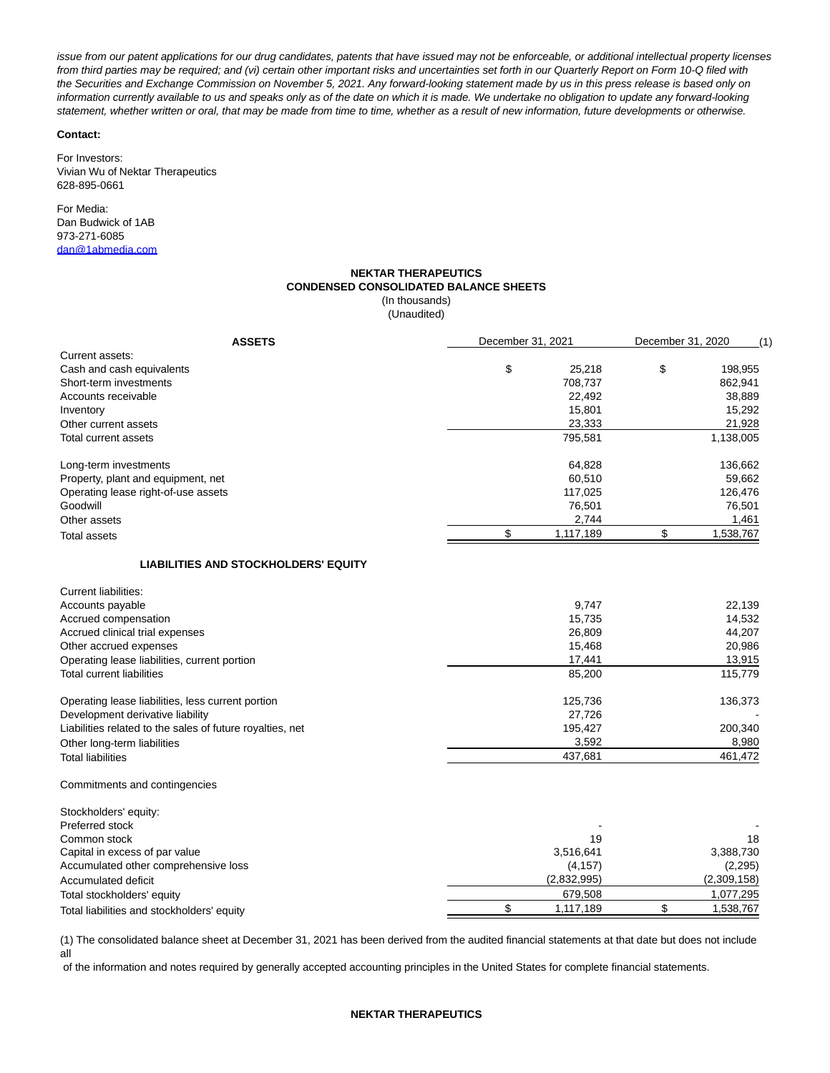issue from our patent applications for our drug candidates, patents that have issued may not be enforceable, or additional intellectual property licenses from third parties may be required; and (vi) certain other important risks and uncertainties set forth in our Quarterly Report on Form 10-Q filed with the Securities and Exchange Commission on November 5, 2021. Any forward-looking statement made by us in this press release is based only on information currently available to us and speaks only as of the date on which it is made. We undertake no obligation to update any forward-looking statement, whether written or oral, that may be made from time to time, whether as a result of new information, future developments or otherwise.

#### **Contact:**

For Investors: Vivian Wu of Nektar Therapeutics 628-895-0661

For Media: Dan Budwick of 1AB 973-271-6085 [dan@1abmedia.com](mailto:dan@1abmedia.com)

#### **NEKTAR THERAPEUTICS CONDENSED CONSOLIDATED BALANCE SHEETS** (In thousands)

(Unaudited)

| <b>ASSETS</b>                                             | December 31, 2021 |    | December 31, 2020<br>(1) |  |  |
|-----------------------------------------------------------|-------------------|----|--------------------------|--|--|
| Current assets:                                           |                   |    |                          |  |  |
| Cash and cash equivalents                                 | \$<br>25,218      | \$ | 198,955                  |  |  |
| Short-term investments                                    | 708,737           |    | 862,941                  |  |  |
| Accounts receivable                                       | 22,492            |    | 38,889                   |  |  |
| Inventory                                                 | 15,801            |    | 15,292                   |  |  |
| Other current assets                                      | 23,333            |    | 21,928                   |  |  |
| Total current assets                                      | 795,581           |    | 1,138,005                |  |  |
| Long-term investments                                     | 64,828            |    | 136,662                  |  |  |
| Property, plant and equipment, net                        | 60,510            |    | 59,662                   |  |  |
| Operating lease right-of-use assets                       | 117,025           |    | 126,476                  |  |  |
| Goodwill                                                  | 76,501            |    | 76,501                   |  |  |
| Other assets                                              | 2,744             |    | 1,461                    |  |  |
| <b>Total assets</b>                                       | \$<br>1,117,189   | \$ | 1,538,767                |  |  |
| <b>LIABILITIES AND STOCKHOLDERS' EQUITY</b>               |                   |    |                          |  |  |
| <b>Current liabilities:</b>                               |                   |    |                          |  |  |
| Accounts payable                                          | 9,747             |    | 22,139                   |  |  |
| Accrued compensation                                      | 15,735            |    | 14,532                   |  |  |
| Accrued clinical trial expenses                           | 26,809            |    | 44,207                   |  |  |
| Other accrued expenses                                    | 15,468            |    | 20,986                   |  |  |
| Operating lease liabilities, current portion              | 17,441            |    | 13,915                   |  |  |
| Total current liabilities                                 | 85,200            |    | 115,779                  |  |  |
| Operating lease liabilities, less current portion         | 125,736           |    | 136,373                  |  |  |
| Development derivative liability                          | 27,726            |    |                          |  |  |
| Liabilities related to the sales of future royalties, net | 195,427           |    | 200,340                  |  |  |
| Other long-term liabilities                               | 3,592             |    | 8,980                    |  |  |
| <b>Total liabilities</b>                                  | 437,681           |    | 461,472                  |  |  |
| Commitments and contingencies                             |                   |    |                          |  |  |
| Stockholders' equity:                                     |                   |    |                          |  |  |
| Preferred stock                                           |                   |    |                          |  |  |
| Common stock                                              | 19                |    | 18                       |  |  |
| Capital in excess of par value                            | 3,516,641         |    | 3,388,730                |  |  |
| Accumulated other comprehensive loss                      | (4, 157)          |    | (2, 295)                 |  |  |
| Accumulated deficit                                       | (2,832,995)       |    | (2,309,158)              |  |  |
| Total stockholders' equity                                | 679,508           |    | 1,077,295                |  |  |
| Total liabilities and stockholders' equity                | \$<br>1,117,189   | \$ | 1,538,767                |  |  |

(1) The consolidated balance sheet at December 31, 2021 has been derived from the audited financial statements at that date but does not include all

of the information and notes required by generally accepted accounting principles in the United States for complete financial statements.

## **NEKTAR THERAPEUTICS**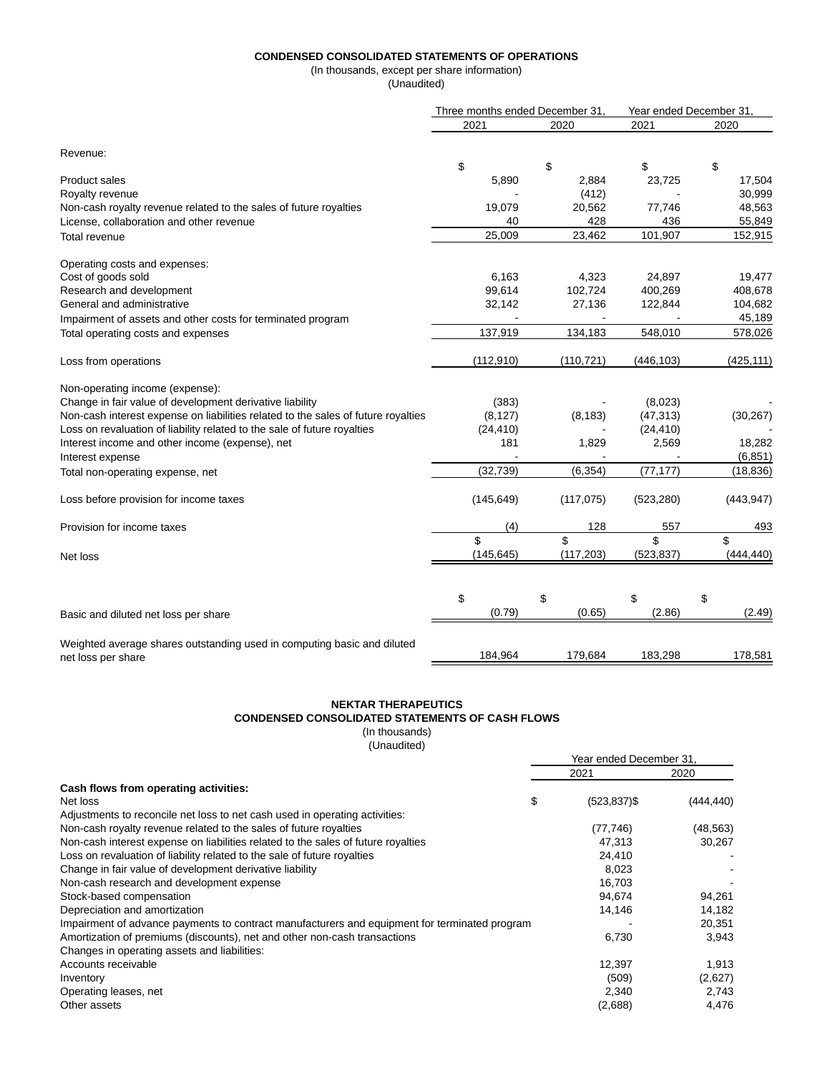## **CONDENSED CONSOLIDATED STATEMENTS OF OPERATIONS**

(In thousands, except per share information)

(Unaudited)

|                                                                                   | Three months ended December 31, |            | Year ended December 31, |            |
|-----------------------------------------------------------------------------------|---------------------------------|------------|-------------------------|------------|
|                                                                                   | 2021                            | 2020       | 2021                    | 2020       |
| Revenue:                                                                          |                                 |            |                         |            |
|                                                                                   | \$                              | \$         | \$                      | \$         |
| <b>Product sales</b>                                                              | 5,890                           | 2,884      | 23,725                  | 17,504     |
| Royalty revenue                                                                   |                                 | (412)      |                         | 30,999     |
| Non-cash royalty revenue related to the sales of future royalties                 | 19,079                          | 20,562     | 77,746                  | 48,563     |
| License, collaboration and other revenue                                          | 40                              | 428        | 436                     | 55,849     |
| Total revenue                                                                     | 25,009                          | 23,462     | 101,907                 | 152,915    |
| Operating costs and expenses:                                                     |                                 |            |                         |            |
| Cost of goods sold                                                                | 6,163                           | 4,323      | 24,897                  | 19,477     |
| Research and development                                                          | 99,614                          | 102,724    | 400,269                 | 408,678    |
| General and administrative                                                        | 32,142                          | 27,136     | 122,844                 | 104,682    |
| Impairment of assets and other costs for terminated program                       |                                 |            |                         | 45,189     |
| Total operating costs and expenses                                                | 137,919                         | 134,183    | 548,010                 | 578,026    |
| Loss from operations                                                              | (112, 910)                      | (110, 721) | (446, 103)              | (425, 111) |
| Non-operating income (expense):                                                   |                                 |            |                         |            |
| Change in fair value of development derivative liability                          | (383)                           |            | (8,023)                 |            |
| Non-cash interest expense on liabilities related to the sales of future royalties | (8, 127)                        | (8, 183)   | (47, 313)               | (30, 267)  |
| Loss on revaluation of liability related to the sale of future royalties          | (24, 410)                       |            | (24, 410)               |            |
| Interest income and other income (expense), net                                   | 181                             | 1,829      | 2,569                   | 18,282     |
| Interest expense                                                                  |                                 |            |                         | (6, 851)   |
| Total non-operating expense, net                                                  | (32, 739)                       | (6, 354)   | (77, 177)               | (18, 836)  |
| Loss before provision for income taxes                                            | (145, 649)                      | (117, 075) | (523, 280)              | (443, 947) |
| Provision for income taxes                                                        | (4)                             | 128        | 557                     | 493        |
|                                                                                   | \$                              | \$         | \$                      | \$         |
| Net loss                                                                          | (145,645)                       | (117, 203) | (523, 837)              | (444, 440) |
|                                                                                   |                                 |            |                         |            |
|                                                                                   | \$                              | \$         | \$                      | \$         |
| Basic and diluted net loss per share                                              | (0.79)                          | (0.65)     | (2.86)                  | (2.49)     |
| Weighted average shares outstanding used in computing basic and diluted           |                                 |            |                         |            |
| net loss per share                                                                | 184,964                         | 179,684    | 183,298                 | 178,581    |

## **NEKTAR THERAPEUTICS**

## **CONDENSED CONSOLIDATED STATEMENTS OF CASH FLOWS**

(In thousands) (Unaudited)

|                                                                                               | Year ended December 31. |           |
|-----------------------------------------------------------------------------------------------|-------------------------|-----------|
|                                                                                               | 2021                    | 2020      |
| Cash flows from operating activities:                                                         |                         |           |
| Net loss                                                                                      | \$<br>$(523, 837)$ \$   | (444,440) |
| Adjustments to reconcile net loss to net cash used in operating activities:                   |                         |           |
| Non-cash royalty revenue related to the sales of future royalties                             | (77, 746)               | (48, 563) |
| Non-cash interest expense on liabilities related to the sales of future royalties             | 47,313                  | 30,267    |
| Loss on revaluation of liability related to the sale of future royalties                      | 24.410                  |           |
| Change in fair value of development derivative liability                                      | 8,023                   |           |
| Non-cash research and development expense                                                     | 16,703                  |           |
| Stock-based compensation                                                                      | 94,674                  | 94,261    |
| Depreciation and amortization                                                                 | 14,146                  | 14,182    |
| Impairment of advance payments to contract manufacturers and equipment for terminated program |                         | 20,351    |
| Amortization of premiums (discounts), net and other non-cash transactions                     | 6,730                   | 3,943     |
| Changes in operating assets and liabilities:                                                  |                         |           |
| Accounts receivable                                                                           | 12,397                  | 1,913     |
| Inventory                                                                                     | (509)                   | (2,627)   |
| Operating leases, net                                                                         | 2,340                   | 2,743     |
| Other assets                                                                                  | (2,688)                 | 4,476     |